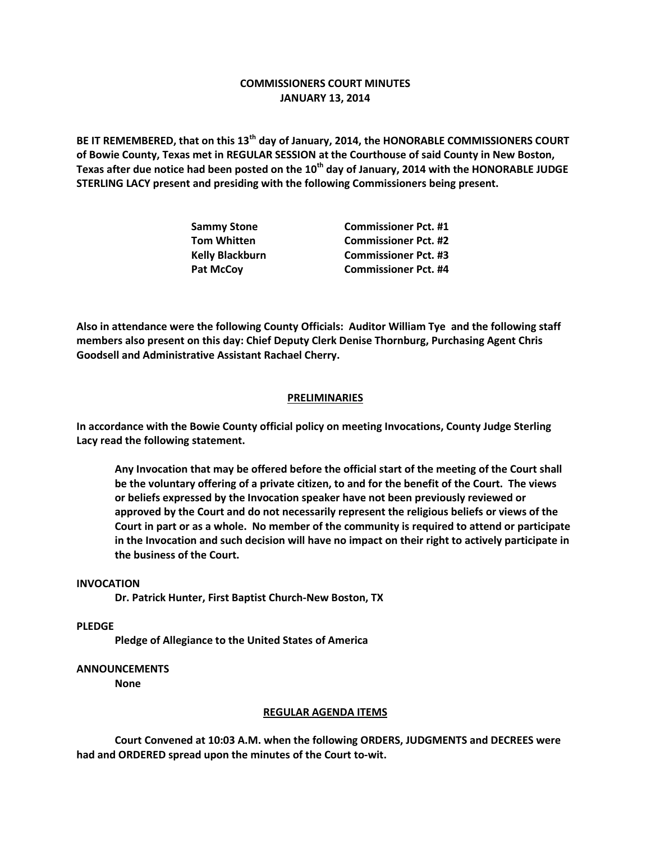# **COMMISSIONERS COURT MINUTES JANUARY 13, 2014**

**BE IT REMEMBERED, that on this 13th day of January, 2014, the HONORABLE COMMISSIONERS COURT of Bowie County, Texas met in REGULAR SESSION at the Courthouse of said County in New Boston, Texas after due notice had been posted on the 10th day of January, 2014 with the HONORABLE JUDGE STERLING LACY present and presiding with the following Commissioners being present.**

| <b>Sammy Stone</b>     | <b>Commissioner Pct. #1</b> |
|------------------------|-----------------------------|
| <b>Tom Whitten</b>     | <b>Commissioner Pct. #2</b> |
| <b>Kelly Blackburn</b> | <b>Commissioner Pct. #3</b> |
| <b>Pat McCov</b>       | <b>Commissioner Pct. #4</b> |

**Also in attendance were the following County Officials: Auditor William Tye and the following staff members also present on this day: Chief Deputy Clerk Denise Thornburg, Purchasing Agent Chris Goodsell and Administrative Assistant Rachael Cherry.**

## **PRELIMINARIES**

**In accordance with the Bowie County official policy on meeting Invocations, County Judge Sterling Lacy read the following statement.**

**Any Invocation that may be offered before the official start of the meeting of the Court shall be the voluntary offering of a private citizen, to and for the benefit of the Court. The views or beliefs expressed by the Invocation speaker have not been previously reviewed or approved by the Court and do not necessarily represent the religious beliefs or views of the Court in part or as a whole. No member of the community is required to attend or participate in the Invocation and such decision will have no impact on their right to actively participate in the business of the Court.**

#### **INVOCATION**

**Dr. Patrick Hunter, First Baptist Church-New Boston, TX**

**PLEDGE**

**Pledge of Allegiance to the United States of America**

### **ANNOUNCEMENTS**

**None**

#### **REGULAR AGENDA ITEMS**

**Court Convened at 10:03 A.M. when the following ORDERS, JUDGMENTS and DECREES were had and ORDERED spread upon the minutes of the Court to-wit.**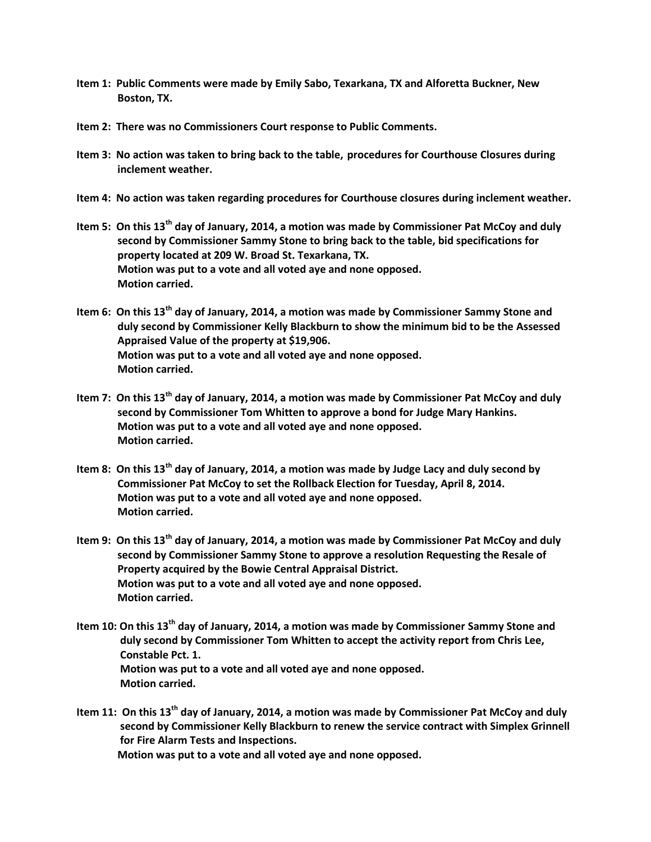- **Item 1: Public Comments were made by Emily Sabo, Texarkana, TX and Alforetta Buckner, New Boston, TX.**
- **Item 2: There was no Commissioners Court response to Public Comments.**
- **Item 3: No action was taken to bring back to the table, procedures for Courthouse Closures during inclement weather.**
- **Item 4: No action was taken regarding procedures for Courthouse closures during inclement weather.**
- **Item 5: On this 13th day of January, 2014, a motion was made by Commissioner Pat McCoy and duly second by Commissioner Sammy Stone to bring back to the table, bid specifications for property located at 209 W. Broad St. Texarkana, TX. Motion was put to a vote and all voted aye and none opposed. Motion carried.**
- **Item 6: On this 13th day of January, 2014, a motion was made by Commissioner Sammy Stone and duly second by Commissioner Kelly Blackburn to show the minimum bid to be the Assessed Appraised Value of the property at \$19,906. Motion was put to a vote and all voted aye and none opposed. Motion carried.**
- **Item 7: On this 13th day of January, 2014, a motion was made by Commissioner Pat McCoy and duly second by Commissioner Tom Whitten to approve a bond for Judge Mary Hankins. Motion was put to a vote and all voted aye and none opposed. Motion carried.**
- **Item 8: On this 13th day of January, 2014, a motion was made by Judge Lacy and duly second by Commissioner Pat McCoy to set the Rollback Election for Tuesday, April 8, 2014. Motion was put to a vote and all voted aye and none opposed. Motion carried.**
- **Item 9: On this 13th day of January, 2014, a motion was made by Commissioner Pat McCoy and duly second by Commissioner Sammy Stone to approve a resolution Requesting the Resale of Property acquired by the Bowie Central Appraisal District. Motion was put to a vote and all voted aye and none opposed. Motion carried.**
- **Item 10: On this 13th day of January, 2014, a motion was made by Commissioner Sammy Stone and duly second by Commissioner Tom Whitten to accept the activity report from Chris Lee, Constable Pct. 1. Motion was put to a vote and all voted aye and none opposed. Motion carried.**
- **Item 11: On this 13th day of January, 2014, a motion was made by Commissioner Pat McCoy and duly second by Commissioner Kelly Blackburn to renew the service contract with Simplex Grinnell for Fire Alarm Tests and Inspections.**

**Motion was put to a vote and all voted aye and none opposed.**